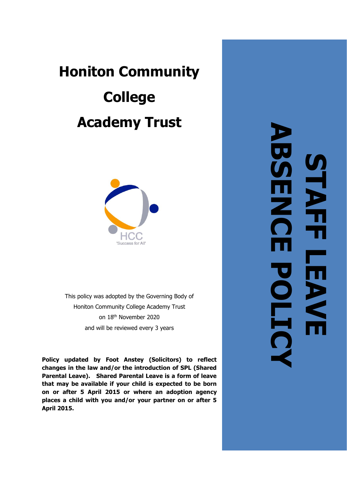# **Honiton Community College Academy Trust**



This policy was adopted by the Governing Body of Honiton Community College Academy Trust<br>on 18<sup>th</sup> November 2020 and will be reviewed every 3 years

**Policy updated by Foot Anstey (Solicitors) to reflect changes in the law and/or the introduction of SPL (Shared Parental Leave). Shared Parental Leave is a form of leave that may be available if your child is expected to be born on or after 5 April 2015 or where an adoption agency places a child with you and/or your partner on or after 5 April 2015.**

**ABSENCE POLICYSTAFF LEAVE**  H P L  $\overline{\phantom{a}}$ LEAV **DHI**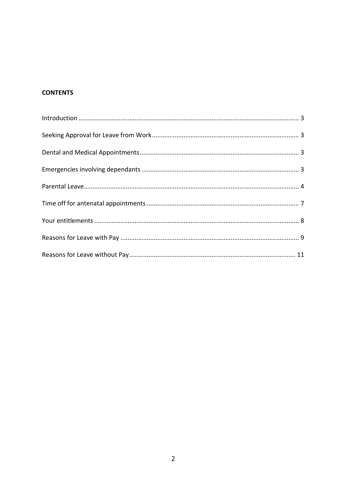## **CONTENTS**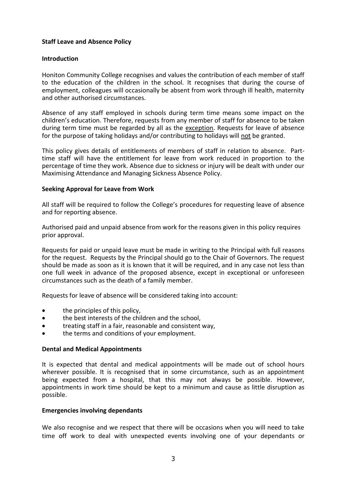#### **Staff Leave and Absence Policy**

#### <span id="page-2-0"></span>**Introduction**

Honiton Community College recognises and values the contribution of each member of staff to the education of the children in the school. It recognises that during the course of employment, colleagues will occasionally be absent from work through ill health, maternity and other authorised circumstances.

Absence of any staff employed in schools during term time means some impact on the children's education. Therefore, requests from any member of staff for absence to be taken during term time must be regarded by all as the exception. Requests for leave of absence for the purpose of taking holidays and/or contributing to holidays will not be granted.

This policy gives details of entitlements of members of staff in relation to absence. Parttime staff will have the entitlement for leave from work reduced in proportion to the percentage of time they work. Absence due to sickness or injury will be dealt with under our Maximising Attendance and Managing Sickness Absence Policy.

#### <span id="page-2-1"></span>**Seeking Approval for Leave from Work**

All staff will be required to follow the College's procedures for requesting leave of absence and for reporting absence.

Authorised paid and unpaid absence from work for the reasons given in this policy requires prior approval.

Requests for paid or unpaid leave must be made in writing to the Principal with full reasons for the request. Requests by the Principal should go to the Chair of Governors. The request should be made as soon as it is known that it will be required, and in any case not less than one full week in advance of the proposed absence, except in exceptional or unforeseen circumstances such as the death of a family member.

Requests for leave of absence will be considered taking into account:

- the principles of this policy,
- the best interests of the children and the school,
- treating staff in a fair, reasonable and consistent way,
- the terms and conditions of your employment.

#### <span id="page-2-2"></span>**Dental and Medical Appointments**

It is expected that dental and medical appointments will be made out of school hours wherever possible. It is recognised that in some circumstance, such as an appointment being expected from a hospital, that this may not always be possible. However, appointments in work time should be kept to a minimum and cause as little disruption as possible.

#### <span id="page-2-3"></span>**Emergencies involving dependants**

We also recognise and we respect that there will be occasions when you will need to take time off work to deal with unexpected events involving one of your dependants or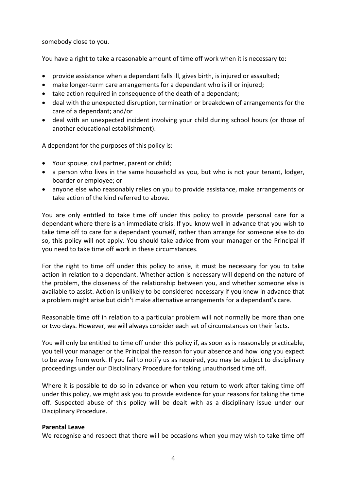somebody close to you.

You have a right to take a reasonable amount of time off work when it is necessary to:

- provide assistance when a dependant falls ill, gives birth, is injured or assaulted;
- make longer-term care arrangements for a dependant who is ill or injured;
- take action required in consequence of the death of a dependant;
- deal with the unexpected disruption, termination or breakdown of arrangements for the care of a dependant; and/or
- deal with an unexpected incident involving your child during school hours (or those of another educational establishment).

A dependant for the purposes of this policy is:

- Your spouse, civil partner, parent or child;
- a person who lives in the same household as you, but who is not your tenant, lodger, boarder or employee; or
- anyone else who reasonably relies on you to provide assistance, make arrangements or take action of the kind referred to above.

You are only entitled to take time off under this policy to provide personal care for a dependant where there is an immediate crisis. If you know well in advance that you wish to take time off to care for a dependant yourself, rather than arrange for someone else to do so, this policy will not apply. You should take advice from your manager or the Principal if you need to take time off work in these circumstances.

For the right to time off under this policy to arise, it must be necessary for you to take action in relation to a dependant. Whether action is necessary will depend on the nature of the problem, the closeness of the relationship between you, and whether someone else is available to assist. Action is unlikely to be considered necessary if you knew in advance that a problem might arise but didn't make alternative arrangements for a dependant's care.

Reasonable time off in relation to a particular problem will not normally be more than one or two days. However, we will always consider each set of circumstances on their facts.

You will only be entitled to time off under this policy if, as soon as is reasonably practicable, you tell your manager or the Principal the reason for your absence and how long you expect to be away from work. If you fail to notify us as required, you may be subject to disciplinary proceedings under our Disciplinary Procedure for taking unauthorised time off.

Where it is possible to do so in advance or when you return to work after taking time off under this policy, we might ask you to provide evidence for your reasons for taking the time off. Suspected abuse of this policy will be dealt with as a disciplinary issue under our Disciplinary Procedure.

#### <span id="page-3-0"></span>**Parental Leave**

We recognise and respect that there will be occasions when you may wish to take time off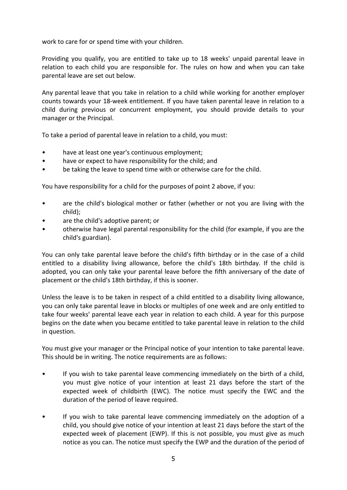work to care for or spend time with your children.

Providing you qualify, you are entitled to take up to 18 weeks' unpaid parental leave in relation to each child you are responsible for. The rules on how and when you can take parental leave are set out below.

Any parental leave that you take in relation to a child while working for another employer counts towards your 18-week entitlement. If you have taken parental leave in relation to a child during previous or concurrent employment, you should provide details to your manager or the Principal.

To take a period of parental leave in relation to a child, you must:

- have at least one year's continuous employment;
- have or expect to have responsibility for the child; and
- be taking the leave to spend time with or otherwise care for the child.

You have responsibility for a child for the purposes of point 2 above, if you:

- are the child's biological mother or father (whether or not you are living with the child);
- are the child's adoptive parent; or
- otherwise have legal parental responsibility for the child (for example, if you are the child's guardian).

You can only take parental leave before the child's fifth birthday or in the case of a child entitled to a disability living allowance, before the child's 18th birthday. If the child is adopted, you can only take your parental leave before the fifth anniversary of the date of placement or the child's 18th birthday, if this is sooner.

Unless the leave is to be taken in respect of a child entitled to a disability living allowance, you can only take parental leave in blocks or multiples of one week and are only entitled to take four weeks' parental leave each year in relation to each child. A year for this purpose begins on the date when you became entitled to take parental leave in relation to the child in question.

You must give your manager or the Principal notice of your intention to take parental leave. This should be in writing. The notice requirements are as follows:

- If you wish to take parental leave commencing immediately on the birth of a child, you must give notice of your intention at least 21 days before the start of the expected week of childbirth (EWC). The notice must specify the EWC and the duration of the period of leave required.
- If you wish to take parental leave commencing immediately on the adoption of a child, you should give notice of your intention at least 21 days before the start of the expected week of placement (EWP). If this is not possible, you must give as much notice as you can. The notice must specify the EWP and the duration of the period of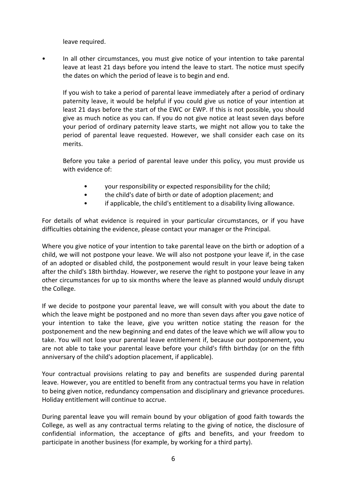leave required.

• In all other circumstances, you must give notice of your intention to take parental leave at least 21 days before you intend the leave to start. The notice must specify the dates on which the period of leave is to begin and end.

If you wish to take a period of parental leave immediately after a period of ordinary paternity leave, it would be helpful if you could give us notice of your intention at least 21 days before the start of the EWC or EWP. If this is not possible, you should give as much notice as you can. If you do not give notice at least seven days before your period of ordinary paternity leave starts, we might not allow you to take the period of parental leave requested. However, we shall consider each case on its merits.

Before you take a period of parental leave under this policy, you must provide us with evidence of:

- your responsibility or expected responsibility for the child;
- the child's date of birth or date of adoption placement; and
- if applicable, the child's entitlement to a disability living allowance.

For details of what evidence is required in your particular circumstances, or if you have difficulties obtaining the evidence, please contact your manager or the Principal.

Where you give notice of your intention to take parental leave on the birth or adoption of a child, we will not postpone your leave. We will also not postpone your leave if, in the case of an adopted or disabled child, the postponement would result in your leave being taken after the child's 18th birthday. However, we reserve the right to postpone your leave in any other circumstances for up to six months where the leave as planned would unduly disrupt the College.

If we decide to postpone your parental leave, we will consult with you about the date to which the leave might be postponed and no more than seven days after you gave notice of your intention to take the leave, give you written notice stating the reason for the postponement and the new beginning and end dates of the leave which we will allow you to take. You will not lose your parental leave entitlement if, because our postponement, you are not able to take your parental leave before your child's fifth birthday (or on the fifth anniversary of the child's adoption placement, if applicable).

Your contractual provisions relating to pay and benefits are suspended during parental leave. However, you are entitled to benefit from any contractual terms you have in relation to being given notice, redundancy compensation and disciplinary and grievance procedures. Holiday entitlement will continue to accrue.

During parental leave you will remain bound by your obligation of good faith towards the College, as well as any contractual terms relating to the giving of notice, the disclosure of confidential information, the acceptance of gifts and benefits, and your freedom to participate in another business (for example, by working for a third party).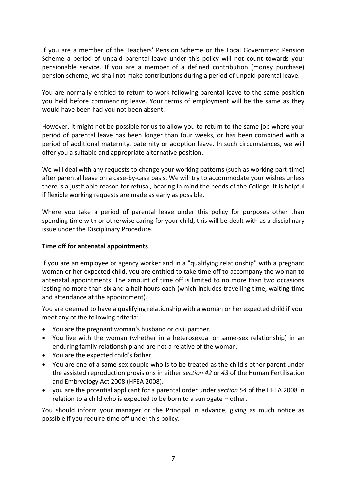If you are a member of the Teachers' Pension Scheme or the Local Government Pension Scheme a period of unpaid parental leave under this policy will not count towards your pensionable service. If you are a member of a defined contribution (money purchase) pension scheme, we shall not make contributions during a period of unpaid parental leave.

You are normally entitled to return to work following parental leave to the same position you held before commencing leave. Your terms of employment will be the same as they would have been had you not been absent.

However, it might not be possible for us to allow you to return to the same job where your period of parental leave has been longer than four weeks, or has been combined with a period of additional maternity, paternity or adoption leave. In such circumstances, we will offer you a suitable and appropriate alternative position.

We will deal with any requests to change your working patterns (such as working part-time) after parental leave on a case-by-case basis. We will try to accommodate your wishes unless there is a justifiable reason for refusal, bearing in mind the needs of the College. It is helpful if flexible working requests are made as early as possible.

Where you take a period of parental leave under this policy for purposes other than spending time with or otherwise caring for your child, this will be dealt with as a disciplinary issue under the Disciplinary Procedure.

#### <span id="page-6-0"></span>**Time off for antenatal appointments**

If you are an employee or agency worker and in a "qualifying relationship" with a pregnant woman or her expected child, you are entitled to take time off to accompany the woman to antenatal appointments. The amount of time off is limited to no more than two occasions lasting no more than six and a half hours each (which includes travelling time, waiting time and attendance at the appointment).

You are deemed to have a qualifying relationship with a woman or her expected child if you meet any of the following criteria:

- You are the pregnant woman's husband or civil partner.
- You live with the woman (whether in a heterosexual or same-sex relationship) in an enduring family relationship and are not a relative of the woman.
- You are the expected child's father.
- You are one of a same-sex couple who is to be treated as the child's other parent under the assisted reproduction provisions in either *[section 42](http://uk.practicallaw.com/5-512-0368?pit=)* or *[43](http://uk.practicallaw.com/3-512-0388?pit=)* of the Human Fertilisation and Embryology Act 2008 (HFEA 2008).
- you are the potential applicant for a parental order under *[section 54](http://uk.practicallaw.com/4-512-0769?pit=)* of the HFEA 2008 in relation to a child who is expected to be born to a surrogate mother.

You should inform your manager or the Principal in advance, giving as much notice as possible if you require time off under this policy.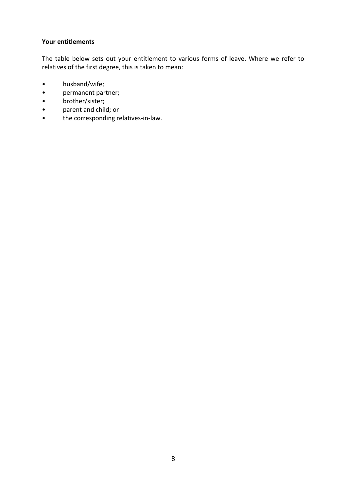#### <span id="page-7-0"></span>**Your entitlements**

The table below sets out your entitlement to various forms of leave. Where we refer to relatives of the first degree, this is taken to mean:

- husband/wife;
- permanent partner;<br>• brother/sister:
- 
- brother/sister;<br>• parent and child • parent and child; or<br>• the corresponding re
- the corresponding relatives-in-law.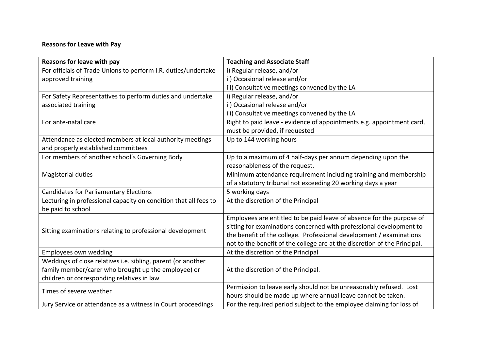# **Reasons for Leave with Pay**

<span id="page-8-0"></span>

| Reasons for leave with pay                                       | <b>Teaching and Associate Staff</b>                                       |
|------------------------------------------------------------------|---------------------------------------------------------------------------|
| For officials of Trade Unions to perform I.R. duties/undertake   | i) Regular release, and/or                                                |
| approved training                                                | ii) Occasional release and/or                                             |
|                                                                  | iii) Consultative meetings convened by the LA                             |
| For Safety Representatives to perform duties and undertake       | i) Regular release, and/or                                                |
| associated training                                              | ii) Occasional release and/or                                             |
|                                                                  | iii) Consultative meetings convened by the LA                             |
| For ante-natal care                                              | Right to paid leave - evidence of appointments e.g. appointment card,     |
|                                                                  | must be provided, if requested                                            |
| Attendance as elected members at local authority meetings        | Up to 144 working hours                                                   |
| and properly established committees                              |                                                                           |
| For members of another school's Governing Body                   | Up to a maximum of 4 half-days per annum depending upon the               |
|                                                                  | reasonableness of the request.                                            |
| Magisterial duties                                               | Minimum attendance requirement including training and membership          |
|                                                                  | of a statutory tribunal not exceeding 20 working days a year              |
| <b>Candidates for Parliamentary Elections</b>                    | 5 working days                                                            |
| Lecturing in professional capacity on condition that all fees to | At the discretion of the Principal                                        |
| be paid to school                                                |                                                                           |
|                                                                  | Employees are entitled to be paid leave of absence for the purpose of     |
|                                                                  | sitting for examinations concerned with professional development to       |
| Sitting examinations relating to professional development        | the benefit of the college. Professional development / examinations       |
|                                                                  | not to the benefit of the college are at the discretion of the Principal. |
| Employees own wedding                                            | At the discretion of the Principal                                        |
| Weddings of close relatives i.e. sibling, parent (or another     |                                                                           |
| family member/carer who brought up the employee) or              | At the discretion of the Principal.                                       |
| children or corresponding relatives in law                       |                                                                           |
| Times of severe weather                                          | Permission to leave early should not be unreasonably refused. Lost        |
|                                                                  | hours should be made up where annual leave cannot be taken.               |
| Jury Service or attendance as a witness in Court proceedings     | For the required period subject to the employee claiming for loss of      |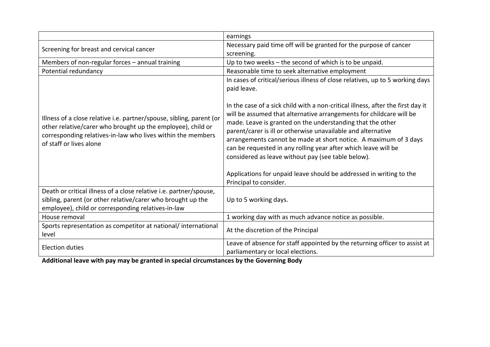|                                                                                                                                                                                                                               | earnings                                                                                                                                                                                                                                                                                                                                                                                                                                                                                                                                                                          |
|-------------------------------------------------------------------------------------------------------------------------------------------------------------------------------------------------------------------------------|-----------------------------------------------------------------------------------------------------------------------------------------------------------------------------------------------------------------------------------------------------------------------------------------------------------------------------------------------------------------------------------------------------------------------------------------------------------------------------------------------------------------------------------------------------------------------------------|
| Screening for breast and cervical cancer                                                                                                                                                                                      | Necessary paid time off will be granted for the purpose of cancer<br>screening.                                                                                                                                                                                                                                                                                                                                                                                                                                                                                                   |
| Members of non-regular forces - annual training                                                                                                                                                                               | Up to two weeks - the second of which is to be unpaid.                                                                                                                                                                                                                                                                                                                                                                                                                                                                                                                            |
| Potential redundancy                                                                                                                                                                                                          | Reasonable time to seek alternative employment                                                                                                                                                                                                                                                                                                                                                                                                                                                                                                                                    |
|                                                                                                                                                                                                                               | In cases of critical/serious illness of close relatives, up to 5 working days<br>paid leave.                                                                                                                                                                                                                                                                                                                                                                                                                                                                                      |
| Illness of a close relative i.e. partner/spouse, sibling, parent (or<br>other relative/carer who brought up the employee), child or<br>corresponding relatives-in-law who lives within the members<br>of staff or lives alone | In the case of a sick child with a non-critical illness, after the first day it<br>will be assumed that alternative arrangements for childcare will be<br>made. Leave is granted on the understanding that the other<br>parent/carer is ill or otherwise unavailable and alternative<br>arrangements cannot be made at short notice. A maximum of 3 days<br>can be requested in any rolling year after which leave will be<br>considered as leave without pay (see table below).<br>Applications for unpaid leave should be addressed in writing to the<br>Principal to consider. |
| Death or critical illness of a close relative i.e. partner/spouse,<br>sibling, parent (or other relative/carer who brought up the<br>employee), child or corresponding relatives-in-law                                       | Up to 5 working days.                                                                                                                                                                                                                                                                                                                                                                                                                                                                                                                                                             |
| House removal                                                                                                                                                                                                                 | 1 working day with as much advance notice as possible.                                                                                                                                                                                                                                                                                                                                                                                                                                                                                                                            |
| Sports representation as competitor at national/international<br>level                                                                                                                                                        | At the discretion of the Principal                                                                                                                                                                                                                                                                                                                                                                                                                                                                                                                                                |
| <b>Election duties</b>                                                                                                                                                                                                        | Leave of absence for staff appointed by the returning officer to assist at<br>parliamentary or local elections.                                                                                                                                                                                                                                                                                                                                                                                                                                                                   |

**Additional leave with pay may be granted in special circumstances by the Governing Body**